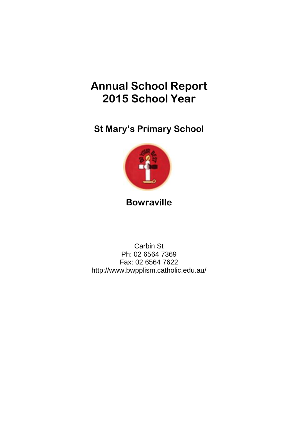# **Annual School Report 2015 School Year**

**St Mary's Primary School**



## **Bowraville**

Carbin St Ph: 02 6564 7369 Fax: 02 6564 7622 http://www.bwpplism.catholic.edu.au/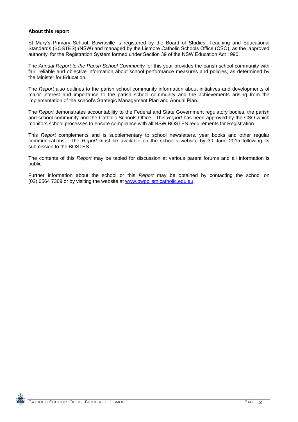#### **About this report**

St Mary"s Primary School, Bowraville is registered by the Board of Studies, Teaching and Educational Standards (BOSTES) (NSW) and managed by the Lismore Catholic Schools Office (CSO), as the "approved authority" for the Registration System formed under Section 39 of the NSW Education Act 1990.

The *Annual Report to the Parish School Community* for this year provides the parish school community with fair, reliable and objective information about school performance measures and policies, as determined by the Minister for Education.

The *Report* also outlines to the parish school community information about initiatives and developments of major interest and importance to the parish school community and the achievements arising from the implementation of the school's Strategic Management Plan and Annual Plan.

The *Report* demonstrates accountability to the Federal and State Government regulatory bodies, the parish and school community and the Catholic Schools Office. This *Report* has been approved by the CSO which monitors school processes to ensure compliance with all NSW BOSTES requirements for Registration.

This *Report* complements and is supplementary to school newsletters, year books and other regular communications. The *Report* must be available on the school"s website by 30 June 2015 following its submission to the BOSTES.

The contents of this *Report* may be tabled for discussion at various parent forums and all information is public.

Further information about the school or this *Report* may be obtained by contacting the school on (02) 6564 7369 or by visiting the website at www.bwpplism.catholic.edu.au

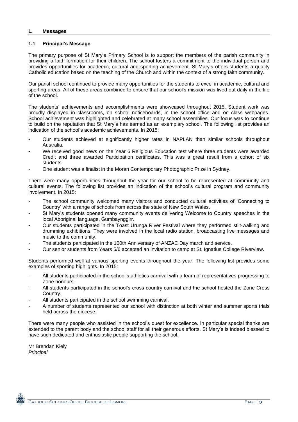#### **1. Messages**

#### **1.1 Principal's Message**

The primary purpose of St Mary"s Primary School is to support the members of the parish community in providing a faith formation for their children. The school fosters a commitment to the individual person and provides opportunities for academic, cultural and sporting achievement. St Mary"s offers students a quality Catholic education based on the teaching of the Church and within the context of a strong faith community.

Our parish school continued to provide many opportunities for the students to excel in academic, cultural and sporting areas. All of these areas combined to ensure that our school's mission was lived out daily in the life of the school.

The students" achievements and accomplishments were showcased throughout 2015. Student work was proudly displayed in classrooms, on school noticeboards, in the school office and on class webpages. School achievement was highlighted and celebrated at many school assemblies. Our focus was to continue to build on the reputation that St Mary"s has earned as an exemplary school. The following list provides an indication of the school's academic achievements. In 2015:

- Our students achieved at significantly higher rates in NAPLAN than similar schools throughout Australia.
- We received good news on the Year 6 Religious Education test where three students were awarded Credit and three awarded Participation certificates. This was a great result from a cohort of six students.
- One student was a finalist in the Moran Contemporary Photographic Prize in Sydney.

There were many opportunities throughout the year for our school to be represented at community and cultural events. The following list provides an indication of the school"s cultural program and community involvement. In 2015:

- The school community welcomed many visitors and conducted cultural activities of 'Connecting to Country" with a range of schools from across the state of New South Wales.
- St Mary's students opened many community events delivering Welcome to Country speeches in the local Aboriginal language, Gumbaynggirr.
- Our students participated in the Toast Urunga River Festival where they performed stilt-walking and drumming exhibitions. They were involved in the local radio station, broadcasting live messages and music to the community.
- The students participated in the 100th Anniversary of ANZAC Day march and service.
- Our senior students from Years 5/6 accepted an invitation to camp at St. Ignatius College Riverview.

Students performed well at various sporting events throughout the year. The following list provides some examples of sporting highlights. In 2015:

- All students participated in the school's athletics carnival with a team of representatives progressing to Zone honours.
- All students participated in the school's cross country carnival and the school hosted the Zone Cross Country.
- All students participated in the school swimming carnival.
- A number of students represented our school with distinction at both winter and summer sports trials held across the diocese.

There were many people who assisted in the school"s quest for excellence. In particular special thanks are extended to the parent body and the school staff for all their generous efforts. St Mary"s is indeed blessed to have such dedicated and enthusiastic people supporting the school.

Mr Brendan Kiely *Principal*

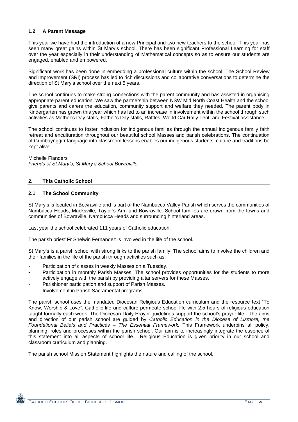#### **1.2 A Parent Message**

This year we have had the introduction of a new Principal and two new teachers to the school. This year has seen many great gains within St Mary"s school. There has been significant Professional Learning for staff over the year especially in their understanding of Mathematical concepts so as to ensure our students are engaged, enabled and empowered.

Significant work has been done in embedding a professional culture within the school. The School Review and Improvement (SRI) process has led to rich discussions and collaborative conversations to determine the direction of St Mary"s school over the next 5 years.

The school continues to make strong connections with the parent community and has assisted in organising appropriate parent education. We saw the partnership between NSW Mid North Coast Health and the school give parents and carers the education, community support and welfare they needed. The parent body in Kindergarten has grown this year which has led to an increase in involvement within the school through such activities as Mother"s Day stalls, Father"s Day stalls, Raffles, World Car Rally Tent, and Festival assistance.

The school continues to foster inclusion for indigenous families through the annual indigenous family faith retreat and enculturation throughout our beautiful school Masses and parish celebrations. The continuation of Gumbaynggirr language into classroom lessons enables our indigenous students" culture and traditions be kept alive.

Michelle Flanders *Friends of St Mary's, St Mary's School Bowraville*

#### **2. This Catholic School**

#### **2.1 The School Community**

St Mary"s is located in Bowraville and is part of the Nambucca Valley Parish which serves the communities of Nambucca Heads, Macksville, Taylor"s Arm and Bowraville. School families are drawn from the towns and communities of Bowraville, Nambucca Heads and surrounding hinterland areas.

Last year the school celebrated 111 years of Catholic education.

The parish priest Fr Shelwin Fernandez is involved in the life of the school.

St Mary"s is a parish school with strong links to the parish family. The school aims to involve the children and their families in the life of the parish through activities such as:

- Participation of classes in weekly Masses on a Tuesday.
- Participation in monthly Parish Masses. The school provides opportunities for the students to more actively engage with the parish by providing altar servers for these Masses.
- Parishioner participation and support of Parish Masses.
- Involvement in Parish Sacramental programs.

The parish school uses the mandated Diocesan Religious Education curriculum and the resource text "To Know, Worship & Love". Catholic life and culture permeate school life with 2.5 hours of religious education taught formally each week. The Diocesan Daily Prayer guidelines support the school"s prayer life. The aims and direction of our parish school are guided by *Catholic Education in the Diocese of Lismore, the Foundational Beliefs and Practices – The Essential Framework.* This Framework underpins all policy, planning, roles and processes within the parish school. Our aim is to increasingly integrate the essence of this statement into all aspects of school life. Religious Education is given priority in our school and classroom curriculum and planning.

The parish school Mission Statement highlights the nature and calling of the school.

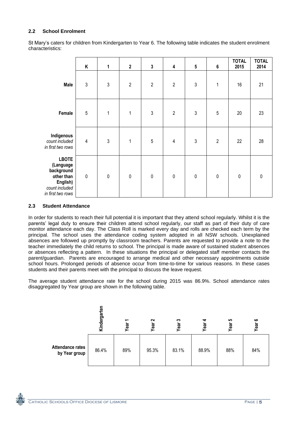#### **2.2 School Enrolment**

|                                                                                                          | Κ              | 1          | $\boldsymbol{2}$ | $\mathbf 3$ | 4                       | ${\bf 5}$  | $\boldsymbol{6}$ | <b>TOTAL</b><br>2015 | <b>TOTAL</b><br>2014 |
|----------------------------------------------------------------------------------------------------------|----------------|------------|------------------|-------------|-------------------------|------------|------------------|----------------------|----------------------|
| Male                                                                                                     | $\mathfrak{3}$ | $\sqrt{3}$ | $\sqrt{2}$       | $\sqrt{2}$  | $\overline{2}$          | $\sqrt{3}$ | $\mathbf 1$      | 16                   | 21                   |
| Female                                                                                                   | $\overline{5}$ | 1          | $\mathbf 1$      | $\sqrt{3}$  | $\sqrt{2}$              | $\sqrt{3}$ | $\overline{5}$   | 20                   | 23                   |
| Indigenous<br>count included<br>in first two rows                                                        | $\sqrt{4}$     | $\sqrt{3}$ | $\mathbf{1}$     | $\sqrt{5}$  | $\overline{\mathbf{4}}$ | $\sqrt{3}$ | $\overline{2}$   | 22                   | 28                   |
| <b>LBOTE</b><br>(Language<br>background<br>other than<br>English)<br>count included<br>in first two rows | $\pmb{0}$      | $\pmb{0}$  | $\pmb{0}$        | $\pmb{0}$   | $\pmb{0}$               | $\pmb{0}$  | $\pmb{0}$        | $\pmb{0}$            | $\mathbf 0$          |

St Mary"s caters for children from Kindergarten to Year 6. The following table indicates the student enrolment characteristics:

#### **2.3 Student Attendance**

In order for students to reach their full potential it is important that they attend school regularly. Whilst it is the parents" legal duty to ensure their children attend school regularly, our staff as part of their duty of care monitor attendance each day. The Class Roll is marked every day and rolls are checked each term by the principal. The school uses the attendance coding system adopted in all NSW schools. Unexplained absences are followed up promptly by classroom teachers. Parents are requested to provide a note to the teacher immediately the child returns to school. The principal is made aware of sustained student absences or absences reflecting a pattern. In these situations the principal or delegated staff member contacts the parent/guardian. Parents are encouraged to arrange medical and other necessary appointments outside school hours. Prolonged periods of absence occur from time-to-time for various reasons. In these cases students and their parents meet with the principal to discuss the leave request.

The average student attendance rate for the school during 2015 was 86.9%. School attendance rates disaggregated by Year group are shown in the following table.



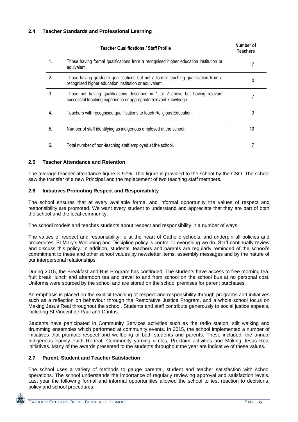|              | Number of<br><b>Teachers</b>                                                                                                                       |    |
|--------------|----------------------------------------------------------------------------------------------------------------------------------------------------|----|
| 1.           | Those having formal qualifications from a recognised higher education institution or<br>equivalent.                                                |    |
| 2            | Those having graduate qualifications but not a formal teaching qualification from a<br>recognised higher education institution or equivalent.      |    |
| $\mathbf{3}$ | Those not having qualifications described in 1 or 2 above but having relevant<br>successful teaching experience or appropriate relevant knowledge. |    |
| 4.           | Teachers with recognised qualifications to teach Religious Education.                                                                              | 3  |
| 5.           | Number of staff identifying as indigenous employed at the school.                                                                                  | 10 |
| 6.           | Total number of non-teaching staff employed at the school.                                                                                         |    |

#### **2.5 Teacher Attendance and Retention**

The average teacher attendance figure is 97%. This figure is provided to the school by the CSO. The school saw the transfer of a new Principal and the replacement of two teaching staff members.

#### **2.6 Initiatives Promoting Respect and Responsibility**

The school ensures that at every available formal and informal opportunity the values of respect and responsibility are promoted. We want every student to understand and appreciate that they are part of both the school and the local community.

The school models and teaches students about respect and responsibility in a number of ways.

The values of respect and responsibility lie at the heart of Catholic schools, and underpin all policies and procedures. St Mary"s Wellbeing and Discipline policy is central to everything we do. Staff continually review and discuss this policy. In addition, students, teachers and parents are regularly reminded of the school"s commitment to these and other school values by newsletter items, assembly messages and by the nature of our interpersonal relationships.

During 2015, the Breakfast and Bus Program has continued. The students have access to free morning tea, fruit break, lunch and afternoon tea and travel to and from school on the school bus at no personal cost. Uniforms were sourced by the school and are stored on the school premises for parent purchases.

An emphasis is placed on the explicit teaching of respect and responsibility through programs and initiatives such as a reflection on behaviour through the Restorative Justice Program, and a whole school focus on Making Jesus Real throughout the school. Students and staff contribute generously to social justice appeals, including St Vincent de Paul and Caritas.

Students have participated in Community Services activities such as the radio station, stilt walking and drumming ensembles which performed at community events. In 2015, the school implemented a number of initiatives that promote respect and wellbeing of both students and parents. These included, the annual Indigenous Family Faith Retreat, Community yarning circles, Proclaim activities and Making Jesus Real initiatives. Many of the awards presented to the students throughout the year are indicative of these values.

#### **2.7 Parent, Student and Teacher Satisfaction**

The school uses a variety of methods to gauge parental, student and teacher satisfaction with school operations. The school understands the importance of regularly reviewing approval and satisfaction levels. Last year the following formal and informal opportunities allowed the school to test reaction to decisions, policy and school procedures:

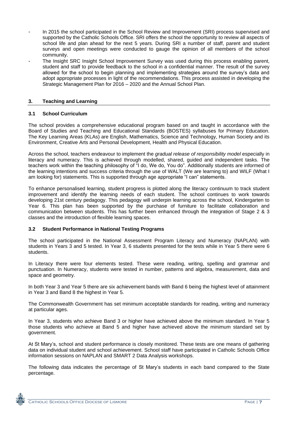- In 2015 the school participated in the School Review and Improvement (SRI) process supervised and supported by the Catholic Schools Office. SRI offers the school the opportunity to review all aspects of school life and plan ahead for the next 5 years. During SRI a number of staff, parent and student surveys and open meetings were conducted to gauge the opinion of all members of the school community.
- The Insight SRC Insight School Improvement Survey was used during this process enabling parent, student and staff to provide feedback to the school in a confidential manner. The result of the survey allowed for the school to begin planning and implementing strategies around the survey"s data and adopt appropriate processes in light of the recommendations. This process assisted in developing the Strategic Management Plan for 2016 – 2020 and the Annual School Plan.

#### **3. Teaching and Learning**

#### **3.1 School Curriculum**

The school provides a comprehensive educational program based on and taught in accordance with the Board of Studies and Teaching and Educational Standards (BOSTES) syllabuses for Primary Education. The Key Learning Areas (KLAs) are English, Mathematics, Science and Technology, Human Society and its Environment, Creative Arts and Personal Development, Health and Physical Education.

Across the school, teachers endeavour to implement the *gradual release of responsibility model* especially in literacy and numeracy. This is achieved through modelled, shared, guided and independent tasks. The teachers work within the teaching philosophy of "I do, We do, You do". Additionally students are informed of the learning intentions and success criteria through the use of WALT (We are learning to) and WILF (What I am looking for) statements. This is supported through age appropriate "I can" statements.

To enhance personalised learning, student progress is plotted along the literacy continuum to track student improvement and identify the learning needs of each student. The school continues to work towards developing 21st century pedagogy. This pedagogy will underpin learning across the school, Kindergarten to Year 6. This plan has been supported by the purchase of furniture to facilitate collaboration and communication between students. This has further been enhanced through the integration of Stage 2 & 3 classes and the introduction of flexible learning spaces.

#### **3.2 Student Performance in National Testing Programs**

The school participated in the National Assessment Program Literacy and Numeracy (NAPLAN) with students in Years 3 and 5 tested. In Year 3, 6 students presented for the tests while in Year 5 there were 6 students.

In Literacy there were four elements tested. These were reading, writing, spelling and grammar and punctuation. In Numeracy, students were tested in number, patterns and algebra, measurement, data and space and geometry.

In both Year 3 and Year 5 there are six achievement bands with Band 6 being the highest level of attainment in Year 3 and Band 8 the highest in Year 5.

The Commonwealth Government has set minimum acceptable standards for reading, writing and numeracy at particular ages.

In Year 3, students who achieve Band 3 or higher have achieved above the minimum standard. In Year 5 those students who achieve at Band 5 and higher have achieved above the minimum standard set by government.

At St Mary"s, school and student performance is closely monitored. These tests are one means of gathering data on individual student and school achievement. School staff have participated in Catholic Schools Office information sessions on NAPLAN and SMART 2 Data Analysis workshops.

The following data indicates the percentage of St Mary"s students in each band compared to the State percentage.

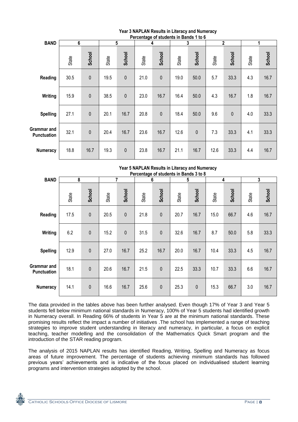| Percentage of students in Bands 1 to 6 |                |              |       |             |       |             |       |           |       |              |       |               |
|----------------------------------------|----------------|--------------|-------|-------------|-------|-------------|-------|-----------|-------|--------------|-------|---------------|
| <b>BAND</b>                            | $6\phantom{1}$ |              |       | 5           |       | 4           |       | 3         |       | $\mathbf 2$  |       |               |
|                                        | State          | School       | State | School      | State | School      | State | School    | State | School       | State | <b>School</b> |
| Reading                                | 30.5           | $\mathbf{0}$ | 19.5  | $\mathbf 0$ | 21.0  | $\mathbf 0$ | 19.0  | 50.0      | 5.7   | 33.3         | 4.3   | 16.7          |
| Writing                                | 15.9           | $\pmb{0}$    | 38.5  | $\mathbf 0$ | 23.0  | 16.7        | 16.4  | 50.0      | 4.3   | 16.7         | 1.8   | 16.7          |
| <b>Spelling</b>                        | 27.1           | $\mathbf{0}$ | 20.1  | 16.7        | 20.8  | $\mathbf 0$ | 18.4  | 50.0      | 9.6   | $\mathbf{0}$ | 4.0   | 33.3          |
| Grammar and<br><b>Punctuation</b>      | 32.1           | $\mathbf{0}$ | 20.4  | 16.7        | 23.6  | 16.7        | 12.6  | $\pmb{0}$ | 7.3   | 33.3         | 4.1   | 33.3          |
| <b>Numeracy</b>                        | 18.8           | 16.7         | 19.3  | $\mathbf 0$ | 23.8  | 16.7        | 21.1  | 16.7      | 12.6  | 33.3         | 4.4   | 16.7          |

### **Year 3 NAPLAN Results in Literacy and Numeracy**

| Tear 5 NAPLAN Results in Literacy and Numeracy<br>Percentage of students in Bands 3 to 8 |       |              |       |              |       |             |       |           |       |        |       |        |
|------------------------------------------------------------------------------------------|-------|--------------|-------|--------------|-------|-------------|-------|-----------|-------|--------|-------|--------|
| <b>BAND</b>                                                                              | 8     |              |       | 7            |       | 6           |       | 5         |       | 4      |       | 3      |
|                                                                                          | State | School       | State | School       | State | School      | State | School    | State | School | State | School |
| Reading                                                                                  | 17.5  | $\pmb{0}$    | 20.5  | $\mathbf{0}$ | 21.8  | $\pmb{0}$   | 20.7  | 16.7      | 15.0  | 66.7   | 4.6   | 16.7   |
| Writing                                                                                  | 6.2   | $\mathbf{0}$ | 15.2  | $\mathbf 0$  | 31.5  | $\mathbf 0$ | 32.6  | 16.7      | 8.7   | 50.0   | 5.8   | 33.3   |
| <b>Spelling</b>                                                                          | 12.9  | $\mathbf 0$  | 27.0  | 16.7         | 25.2  | 16.7        | 20.0  | 16.7      | 10.4  | 33.3   | 4.5   | 16.7   |
| Grammar and<br><b>Punctuation</b>                                                        | 18.1  | $\mathbf{0}$ | 20.6  | 16.7         | 21.5  | $\mathbf 0$ | 22.5  | 33.3      | 10.7  | 33.3   | 6.6   | 16.7   |
| <b>Numeracy</b>                                                                          | 14.1  | $\pmb{0}$    | 16.6  | 16.7         | 25.6  | $\pmb{0}$   | 25.3  | $\pmb{0}$ | 15.3  | 66.7   | 3.0   | 16.7   |

**Year 5 NAPLAN Results in Literacy and Numeracy**

The data provided in the tables above has been further analysed. Even though 17% of Year 3 and Year 5 students fell below minimum national standards in Numeracy, 100% of Year 5 students had identified growth in Numeracy overall. In Reading 66% of students in Year 5 are at the minimum national standards. These promising results reflect the impact a number of initiatives .The school has implemented a range of teaching strategies to improve student understanding in literacy and numeracy, in particular, a focus on explicit teaching, teacher modelling and the consolidation of the Mathematics Quick Smart program and the introduction of the STAR reading program.

The analysis of 2015 NAPLAN results has identified Reading, Writing, Spelling and Numeracy as focus areas of future improvement. The percentage of students achieving minimum standards has followed previous years' achievements and is indicative of the focus placed on individualised student learning programs and intervention strategies adopted by the school.

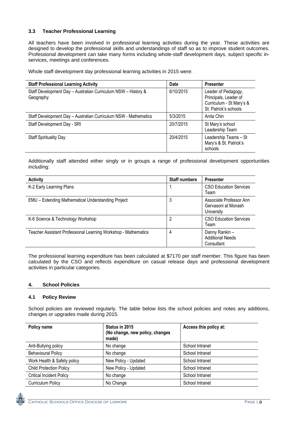#### **3.3 Teacher Professional Learning**

All teachers have been involved in professional learning activities during the year. These activities are designed to develop the professional skills and understandings of staff so as to improve student outcomes. Professional development can take many forms including whole-staff development days, subject specific inservices, meetings and conferences.

Whole staff development day professional learning activities in 2015 were:

| <b>Staff Professional Learning Activity</b>                                | <b>Date</b> | <b>Presenter</b>                                                                                  |
|----------------------------------------------------------------------------|-------------|---------------------------------------------------------------------------------------------------|
| Staff Development Day - Australian Curriculum NSW - History &<br>Geography | 6/10/2015   | Leader of Pedagogy,<br>Principals, Leader of<br>Curriculum - St Mary's &<br>St. Patrick's schools |
| Staff Development Day - Australian Curriculum NSW - Mathematics            | 5/3/2015    | Anita Chin                                                                                        |
| Staff Development Day - SRI                                                | 20/7/2015   | St Mary's school<br>Leadership Team                                                               |
| <b>Staff Spirituality Day</b>                                              | 20/4/2015   | Leadership Teams - St<br>Mary's & St. Patrick's<br>schools                                        |

Additionally staff attended either singly or in groups a range of professional development opportunities including:

| <b>Activity</b>                                                | <b>Staff numbers</b> | <b>Presenter</b>                                             |
|----------------------------------------------------------------|----------------------|--------------------------------------------------------------|
| K-2 Early Learning Plans                                       |                      | <b>CSO Education Services</b><br>Team                        |
| EMU - Extending Mathematical Understanding Project             | 3                    | Associate Professor Ann<br>Gervasoni at Monash<br>University |
| K-6 Science & Technology Workshop                              | 2                    | <b>CSO Education Services</b><br>Team                        |
| Teacher Assistant Professional Learning Workshop - Mathematics | 4                    | Danny Rankin-<br><b>Additional Needs</b><br>Consultant       |

The professional learning expenditure has been calculated at \$7170 per staff member. This figure has been calculated by the CSO and reflects expenditure on casual release days and professional development activities in particular categories.

#### **4. School Policies**

#### **4.1 Policy Review**

School policies are reviewed regularly. The table below lists the school policies and notes any additions, changes or upgrades made during 2015.

| Policy name                     | Status in 2015<br>(No change, new policy, changes<br>made) | Access this policy at: |
|---------------------------------|------------------------------------------------------------|------------------------|
| Anti-Bullying policy            | No change                                                  | School Intranet        |
| <b>Behavioural Policy</b>       | No change                                                  | School Intranet        |
| Work Health & Safety policy     | New Policy - Updated                                       | School Intranet        |
| <b>Child Protection Policy</b>  | New Policy - Updated                                       | School Intranet        |
| <b>Critical Incident Policy</b> | No change                                                  | School Intranet        |
| <b>Curriculum Policy</b>        | No Change                                                  | School Intranet        |

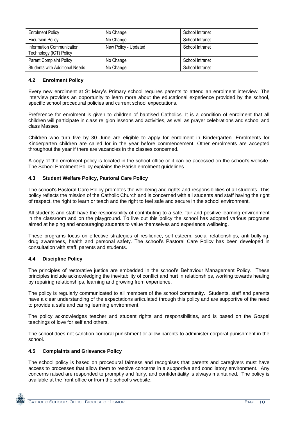| <b>Enrolment Policy</b>                              | No Change            | School Intranet |
|------------------------------------------------------|----------------------|-----------------|
| <b>Excursion Policy</b>                              | No Change            | School Intranet |
| Information Communication<br>Technology (ICT) Policy | New Policy - Updated | School Intranet |
| <b>Parent Complaint Policy</b>                       | No Change            | School Intranet |
| <b>Students with Additional Needs</b>                | No Change            | School Intranet |

#### **4.2 Enrolment Policy**

Every new enrolment at St Mary"s Primary school requires parents to attend an enrolment interview. The interview provides an opportunity to learn more about the educational experience provided by the school, specific school procedural policies and current school expectations.

Preference for enrolment is given to children of baptised Catholics. It is a condition of enrolment that all children will participate in class religion lessons and activities, as well as prayer celebrations and school and class Masses.

Children who turn five by 30 June are eligible to apply for enrolment in Kindergarten. Enrolments for Kindergarten children are called for in the year before commencement. Other enrolments are accepted throughout the year if there are vacancies in the classes concerned.

A copy of the enrolment policy is located in the school office or it can be accessed on the school"s website. The School Enrolment Policy explains the Parish enrolment guidelines.

#### **4.3 Student Welfare Policy, Pastoral Care Policy**

The school"s Pastoral Care Policy promotes the wellbeing and rights and responsibilities of all students. This policy reflects the mission of the Catholic Church and is concerned with all students and staff having the right of respect, the right to learn or teach and the right to feel safe and secure in the school environment.

All students and staff have the responsibility of contributing to a safe, fair and positive learning environment in the classroom and on the playground. To live out this policy the school has adopted various programs aimed at helping and encouraging students to value themselves and experience wellbeing.

These programs focus on effective strategies of resilience, self-esteem, social relationships, anti-bullying, drug awareness, health and personal safety. The school"s Pastoral Care Policy has been developed in consultation with staff, parents and students.

#### **4.4 Discipline Policy**

The principles of restorative justice are embedded in the school"s Behaviour Management Policy. These principles include acknowledging the inevitability of conflict and hurt in relationships, working towards healing by repairing relationships, learning and growing from experience.

The policy is regularly communicated to all members of the school community. Students, staff and parents have a clear understanding of the expectations articulated through this policy and are supportive of the need to provide a safe and caring learning environment.

The policy acknowledges teacher and student rights and responsibilities, and is based on the Gospel teachings of love for self and others.

The school does not sanction corporal punishment or allow parents to administer corporal punishment in the school.

#### **4.5 Complaints and Grievance Policy**

The school policy is based on procedural fairness and recognises that parents and caregivers must have access to processes that allow them to resolve concerns in a supportive and conciliatory environment. Any concerns raised are responded to promptly and fairly, and confidentiality is always maintained. The policy is available at the front office or from the school"s website.

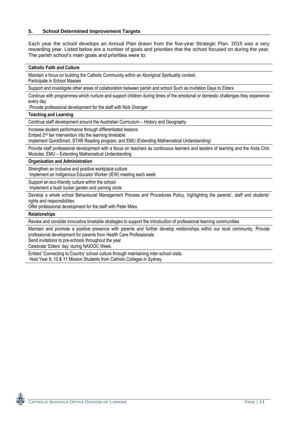#### **5. School Determined Improvement Targets**

Each year the school develops an Annual Plan drawn from the five-year Strategic Plan. 2015 was a very rewarding year. Listed below are a number of goals and priorities that the school focused on during the year. The parish school's main goals and priorities were to:

#### **Catholic Faith and Culture**

Maintain a focus on building the Catholic Community within an Aboriginal Spirituality context.

Participate in School Masses

Support and investigate other areas of collaboration between parish and school Such as Invitation Days to Elders

Continue with programmes which nurture and support children during times of the emotional or domestic challenges they experience every day

.Provide professional development for the staff with Nick Grainger

**Teaching and Learning**

Continue staff development around the Australian Curriculum – History and Geography

Increase student performance through differentiated lessons

Embed 2nd tier intervention into the learning timetable.

Implement QuickSmart, STAR Reading program, and EMU (Extending Mathematical Understanding)

Provide staff professional development with a focus on teachers as continuous learners and leaders of learning and the Anita Chin Modules. EMU – Extending Mathematical Understanding

**Organisation and Administration**

Strengthen an inclusive and positive workplace culture

Implement an Indigenous Educator Worker (IEW) meeting each week

Support an eco-friendly culture within the school

Implement a bush tucker garden and yarning circle

Develop a whole school Behavioural Management Process and Procedures Policy, highlighting the parents', staff and students' rights and responsibilities

Offer professional development for the staff with Peter Miles

**Relationships**

Review and consider innovative timetable strategies to support the introduction of professional learning communities

Maintain and promote a positive presence with parents and further develop relationships within our local community. Provide professional development for parents from Health Care Professionals

Send invitations to pre-schools throughout the year

Celebrate 'Elders' day' during NAIDOC Week.

Embed 'Connecting to Country' school culture through maintaining inter-school visits. Host Year 9, 10 & 11 Mission Students from Catholic Colleges in Sydney.